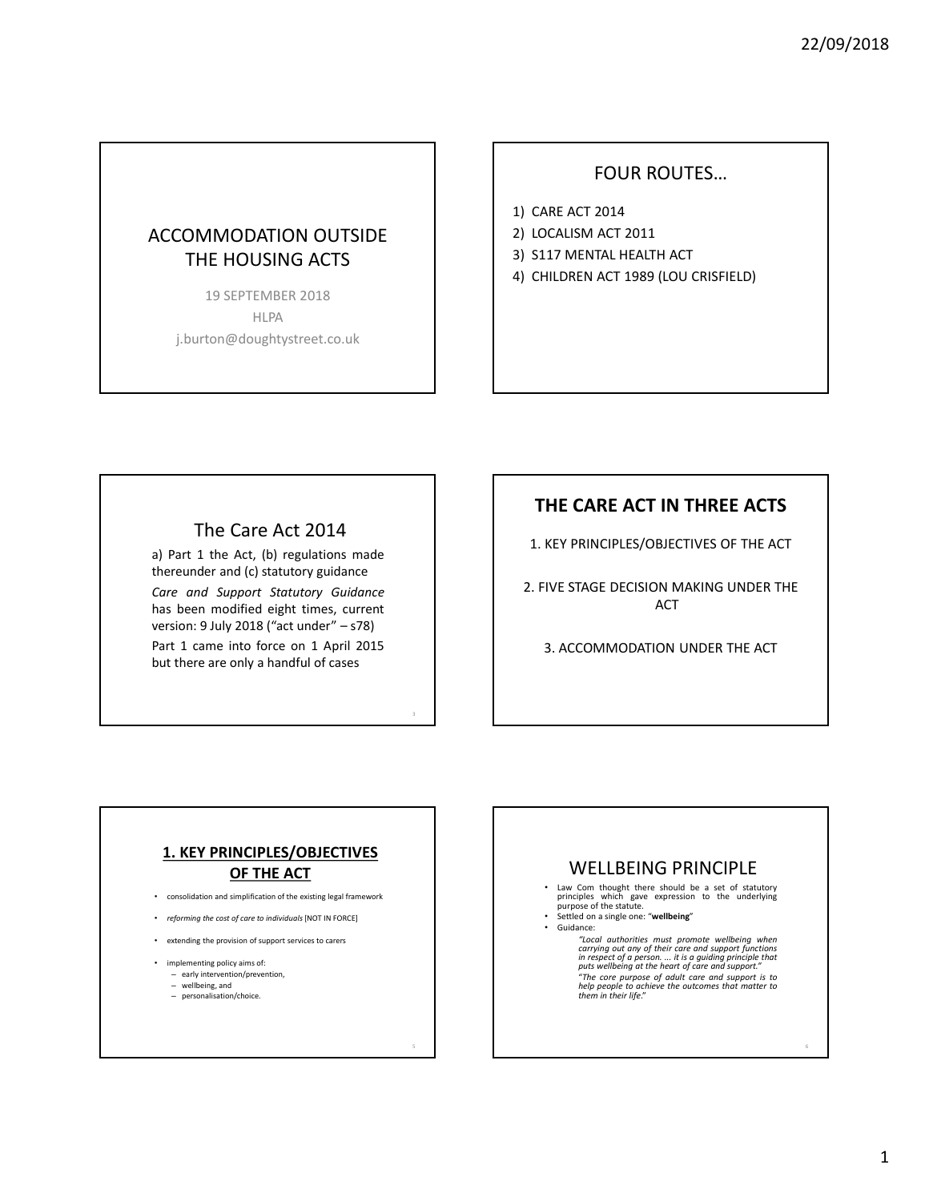## ACCOMMODATION OUTSIDE THE HOUSING ACTS

19 SEPTEMBER 2018 HLPA j.burton@doughtystreet.co.uk

#### FOUR ROUTES…

- 1) CARE ACT 2014
- 2) LOCALISM ACT 2011
- 3) S117 MENTAL HEALTH ACT
- 4) CHILDREN ACT 1989 (LOU CRISFIELD)

#### The Care Act 2014

a) Part 1 the Act, (b) regulations made thereunder and (c) statutory guidance

*Care and Support Statutory Guidance* has been modified eight times, current version: 9 July 2018 ("act under" – s78) Part 1 came into force on 1 April 2015 but there are only a handful of cases

3

### **THE CARE ACT IN THREE ACTS**

1. KEY PRINCIPLES/OBJECTIVES OF THE ACT

2. FIVE STAGE DECISION MAKING UNDER THE ACT

3. ACCOMMODATION UNDER THE ACT

#### **1. KEY PRINCIPLES/OBJECTIVES OF THE ACT**

- consolidation and simplification of the existing legal framework
- *reforming the cost of care to individuals* [NOT IN FORCE]
- extending the provision of support services to carers
- implementing policy aims of:
	- early intervention/prevention, – wellbeing, and
	- personalisation/choice.

#### WELLBEING PRINCIPLE

• Law Com thought there should be a set of statutory principles which gave expression to the underlying purpose of the statute.

- Settled on a single one: "**wellbeing**"
- Guidance:

"Local authorities must promote wellbeing when<br>carrying out any of their care and support functions<br>in respect of a person.... it is a guiding principle that<br>puts wellbeing at the heart of care and support." pus wellbeing at the heart of care and support.<br>"The core purpose of adult care and support is to<br>help people to achieve the outcomes that matter to<br>them in their life."

6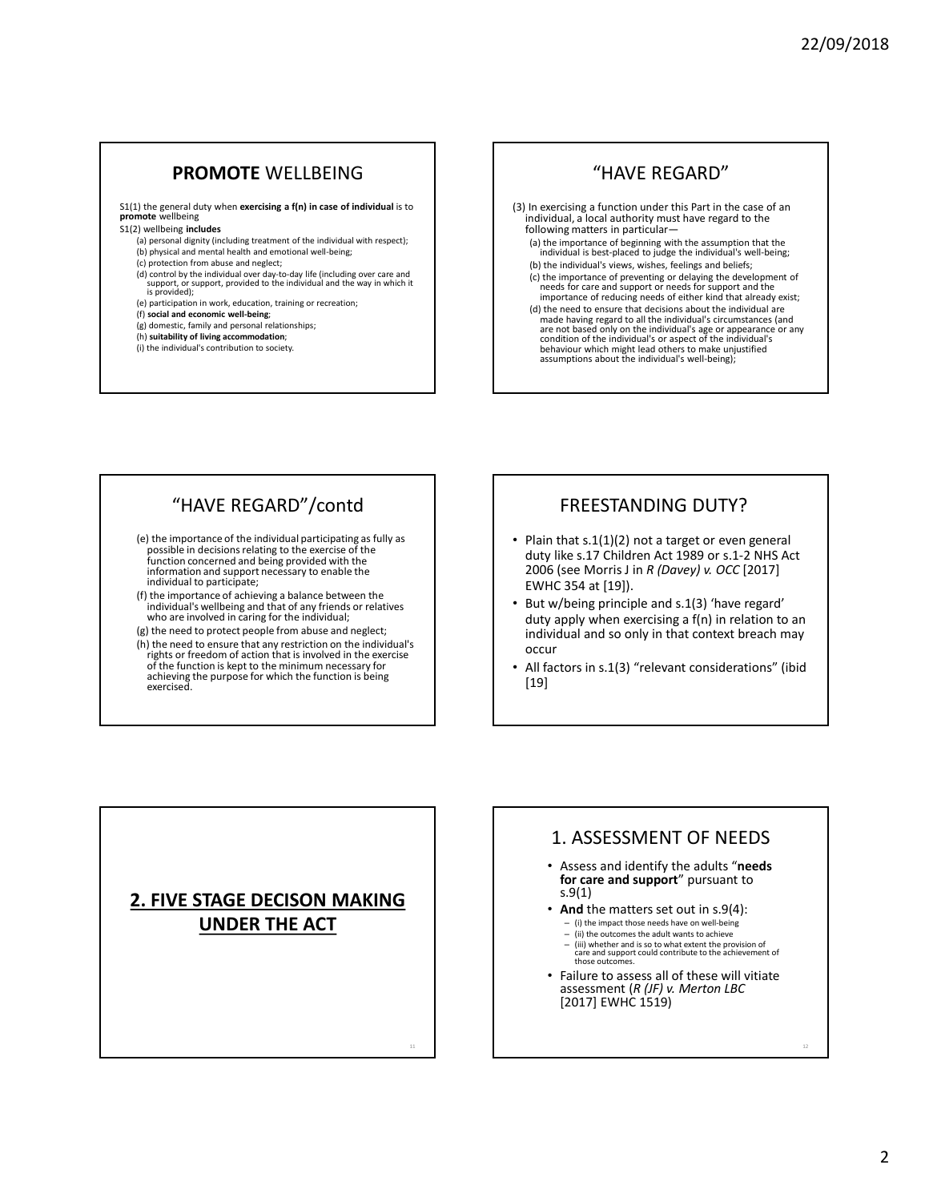#### **PROMOTE** WELLBEING

S1(1) the general duty when **exercising a f(n) in case of individual** is to **promote** wellbeing

#### S1(2) wellbeing **includes**

exercised.

- (a) personal dignity (including treatment of the individual with respect); (b) physical and mental health and emotional well-being;
- (c) protection from abuse and neglect;
- 
- (d) control by the individual over day-to-day life (including over care and support, or support, provided to the individual and the way in which it is provided);
- (e) participation in work, education, training or recreation;
- 
- (f) **social and economic well-being**; (g) domestic, family and personal relationships;
- (h) **suitability of living accommodation**;
- (i) the individual's contribution to society.

#### "HAVE REGARD"

- (3) In exercising a function under this Part in the case of an individual, a local authority must have regard to the following matters in particular—
	- (a) the importance of beginning with the assumption that the individual is best-placed to judge the individual's well-being; (b) the individual's views, wishes, feelings and beliefs;
	- (c) the importance of preventing or delaying the development of needs for care and support or needs for support and the importance of reducing needs of either kind that already exist;
	- (d) the need to ensure that decisions about the individual are made having regard to all the individual's circumstances (and<br>are not based only on the individual's age or appearance or any<br>condition of the individual's or aspect of the individual's<br>behaviour which might lead others to

### "HAVE REGARD"/contd

- (e) the importance of the individual participating as fully as possible in decisions relating to the exercise of the function concerned and being provided with the information and support necessary to enable the individual to participate;
- (f) the importance of achieving a balance between the individual's wellbeing and that of any friends or relatives who are involved in caring for the individual;
- (g) the need to protect people from abuse and neglect; (h) the need to ensure that any restriction on the individual's rights or freedom of action that is involved in the exercise of the function is kept to the minimum necessary for achieving the purpose for which the function is being

#### FREESTANDING DUTY?

- Plain that s.1(1)(2) not a target or even general duty like s.17 Children Act 1989 or s.1-2 NHS Act 2006 (see Morris J in *R (Davey) v. OCC* [2017] EWHC 354 at [19]).
- But w/being principle and s.1(3) 'have regard' duty apply when exercising a f(n) in relation to an individual and so only in that context breach may occur
- All factors in s.1(3) "relevant considerations" (ibid [19]

## **2. FIVE STAGE DECISON MAKING UNDER THE ACT**

11

#### 1. ASSESSMENT OF NEEDS

- Assess and identify the adults "**needs**  for care and support" pursuant to s.9(1)
- **And** the matters set out in s.9(4):
	- (i) the impact those needs have on well-being – (ii) the outcomes the adult wants to achieve
	-
	- (iii) whether and is so to what extent the provision of care and support could contribute to the achievement of those outcomes.
- Failure to assess all of these will vitiate assessment (*R (JF) v. Merton LBC*  [2017] EWHC 1519)

12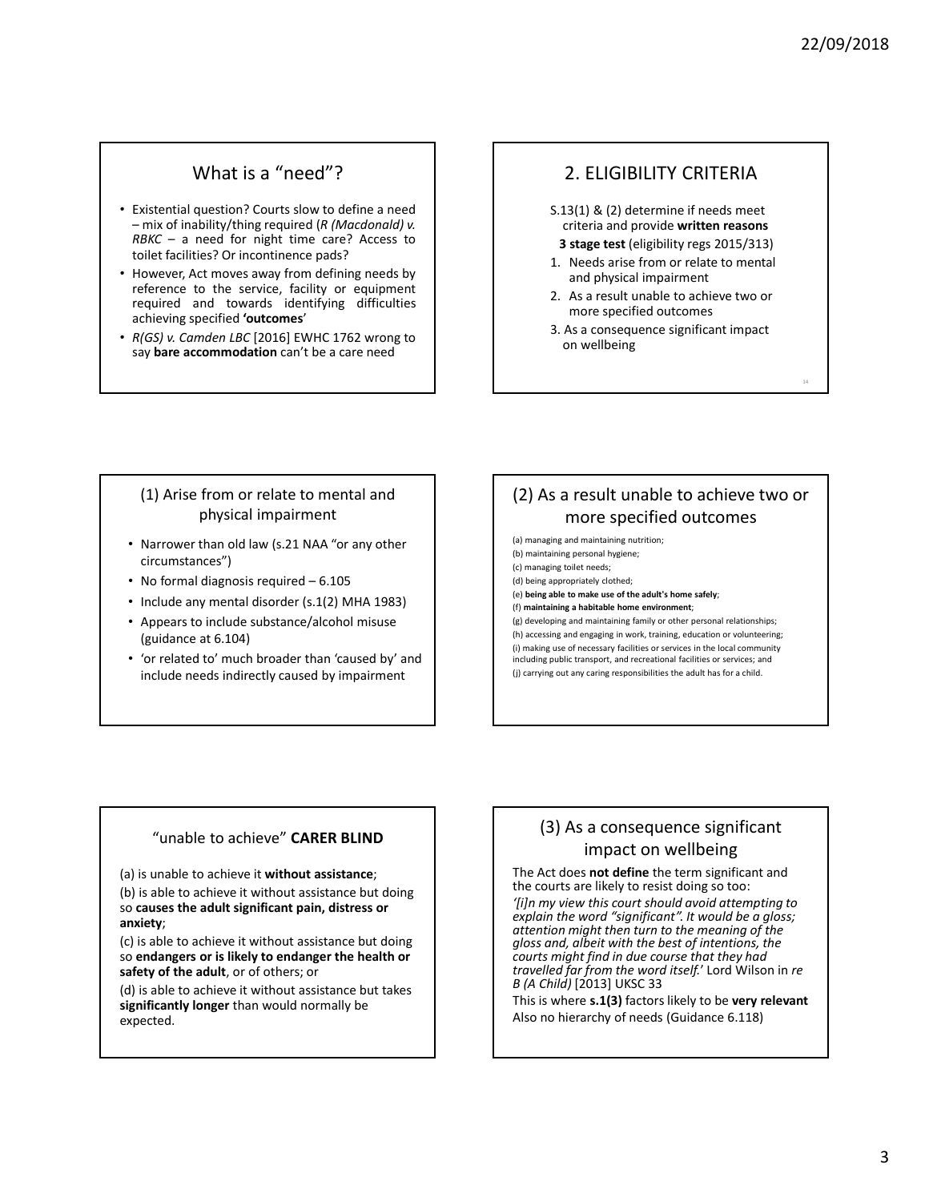14

## What is a "need"?

- Existential question? Courts slow to define a need – mix of inability/thing required (*R (Macdonald) v. RBKC* – a need for night time care? Access to toilet facilities? Or incontinence pads?
- However, Act moves away from defining needs by reference to the service, facility or equipment required and towards identifying difficulties achieving specified **'outcomes**'
- *R(GS) v. Camden LBC* [2016] EWHC 1762 wrong to say **bare accommodation** can't be a care need

### 2. ELIGIBILITY CRITERIA

- S.13(1) & (2) determine if needs meet criteria and provide **written reasons**
- **3 stage test** (eligibility regs 2015/313)
- 1. Needs arise from or relate to mental and physical impairment
- 2. As a result unable to achieve two or more specified outcomes
- 3. As a consequence significant impact on wellbeing

#### (1) Arise from or relate to mental and physical impairment

- Narrower than old law (s.21 NAA "or any other circumstances")
- No formal diagnosis required 6.105
- Include any mental disorder (s.1(2) MHA 1983)
- Appears to include substance/alcohol misuse (guidance at 6.104)
- 'or related to' much broader than 'caused by' and include needs indirectly caused by impairment

## (2) As a result unable to achieve two or more specified outcomes

(a) managing and maintaining nutrition;

- (b) maintaining personal hygiene;
- (c) managing toilet needs; (d) being appropriately clothed;
- (e) **being able to make use of the adult's home safely**;
- (f) **maintaining a habitable home environment**;

(g) developing and maintaining family or other personal relationships; (h) accessing and engaging in work, training, education or volunteering; (i) making use of necessary facilities or services in the local community including public transport, and recreational facilities or services; and (j) carrying out any caring responsibilities the adult has for a child.

#### "unable to achieve" **CARER BLIND**

(a) is unable to achieve it **without assistance**;

(b) is able to achieve it without assistance but doing so **causes the adult significant pain, distress or anxiety**;

(c) is able to achieve it without assistance but doing so **endangers or is likely to endanger the health or safety of the adult**, or of others; or

(d) is able to achieve it without assistance but takes **significantly longer** than would normally be expected.

### (3) As a consequence significant impact on wellbeing

The Act does **not define** the term significant and the courts are likely to resist doing so too:

*'[i]n my view this court should avoid attempting to explain the word "significant". It would be a gloss; attention might then turn to the meaning of the gloss and, albeit with the best of intentions, the courts might find in due course that they had travelled far from the word itself.*' Lord Wilson in *re B (A Child)* [2013] UKSC 33

This is where **s.1(3)** factors likely to be **very relevant** Also no hierarchy of needs (Guidance 6.118)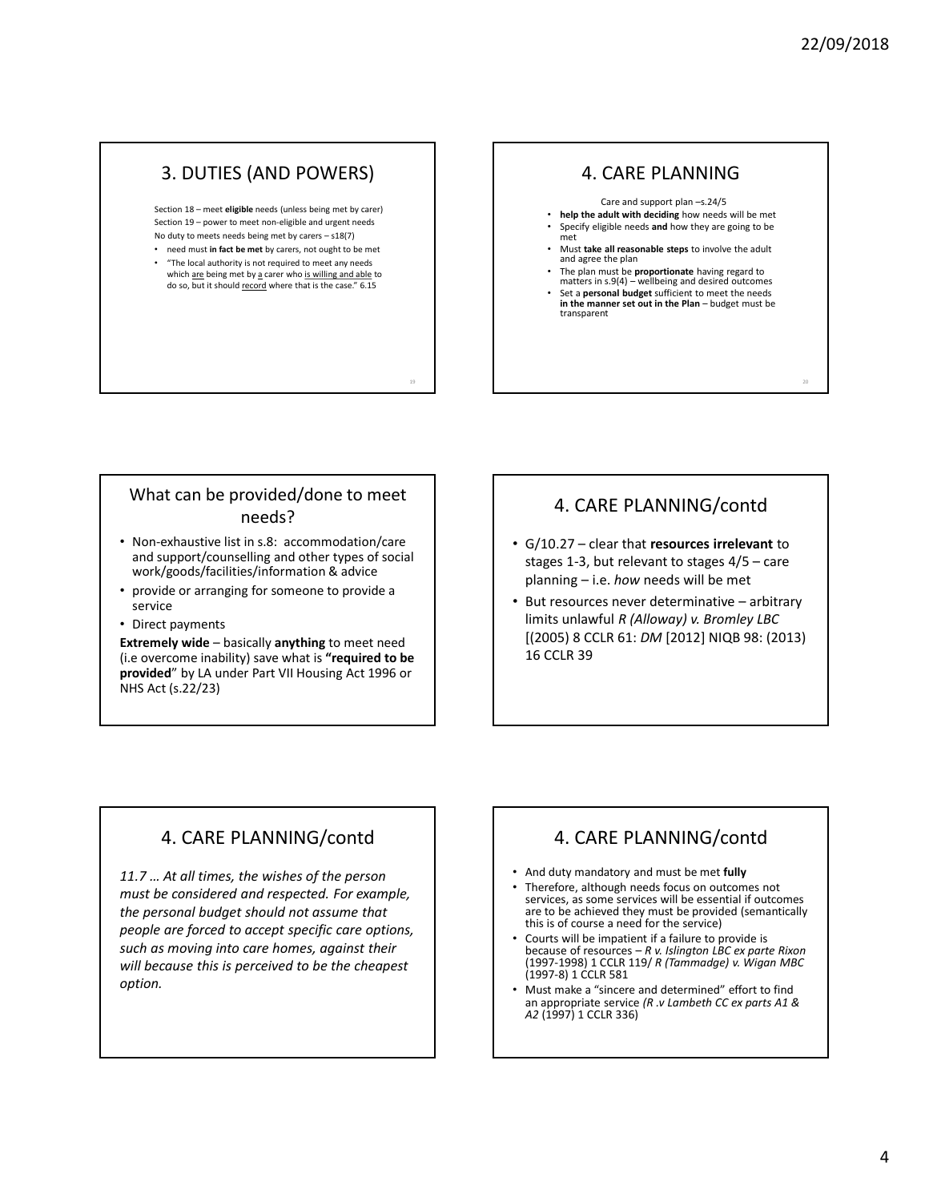20

### 3. DUTIES (AND POWERS)

Section 18 – meet **eligible** needs (unless being met by carer) Section 19 – power to meet non-eligible and urgent needs No duty to meets needs being met by carers – s18(7) • need must **in fact be met** by carers, not ought to be met

• "The local authority is not required to meet any needs which are being met by a carer who is willing and able to do so, but it should record where that is the case." 6.15

19

### 4. CARE PLANNING

Care and support plan –s.24/5 • **help the adult with deciding** how needs will be met • Specify eligible needs **and** how they are going to be met • Must **take all reasonable steps** to involve the adult and agree the plan

- The plan must be **proportionate** having regard to matters in s.9(4) wellbeing and desired outcomes
- Set a **personal budget** sufficient to meet the needs in the manner set out in the Plan – budget must be transparent

#### What can be provided/done to meet needs?

- Non-exhaustive list in s.8: accommodation/care and support/counselling and other types of social work/goods/facilities/information & advice
- provide or arranging for someone to provide a service
- Direct payments

**Extremely wide** – basically **anything** to meet need (i.e overcome inability) save what is **"required to be provided**" by LA under Part VII Housing Act 1996 or NHS Act (s.22/23)

## 4. CARE PLANNING/contd

- G/10.27 clear that **resources irrelevant** to stages 1-3, but relevant to stages 4/5 – care planning – i.e. *how* needs will be met
- But resources never determinative arbitrary limits unlawful *R (Alloway) v. Bromley LBC* [(2005) 8 CCLR 61: *DM* [2012] NIQB 98: (2013) 16 CCLR 39

## 4. CARE PLANNING/contd

*11.7 … At all times, the wishes of the person must be considered and respected. For example, the personal budget should not assume that people are forced to accept specific care options, such as moving into care homes, against their will because this is perceived to be the cheapest option.*

## 4. CARE PLANNING/contd

- And duty mandatory and must be met **fully**
- Therefore, although needs focus on outcomes not services, as some services will be essential if outcomes are to be achieved they must be provided (semantically this is of course a need for the service)
- Courts will be impatient if a failure to provide is because of resources – *R v. Islington LBC ex parte Rixon* (1997-1998) 1 CCLR 119/ *R (Tammadge) v. Wigan MBC* (1997-8) 1 CCLR 581
- Must make a "sincere and determined" effort to find an appropriate service *(R .v Lambeth CC ex parts A1 & A2* (1997) 1 CCLR 336)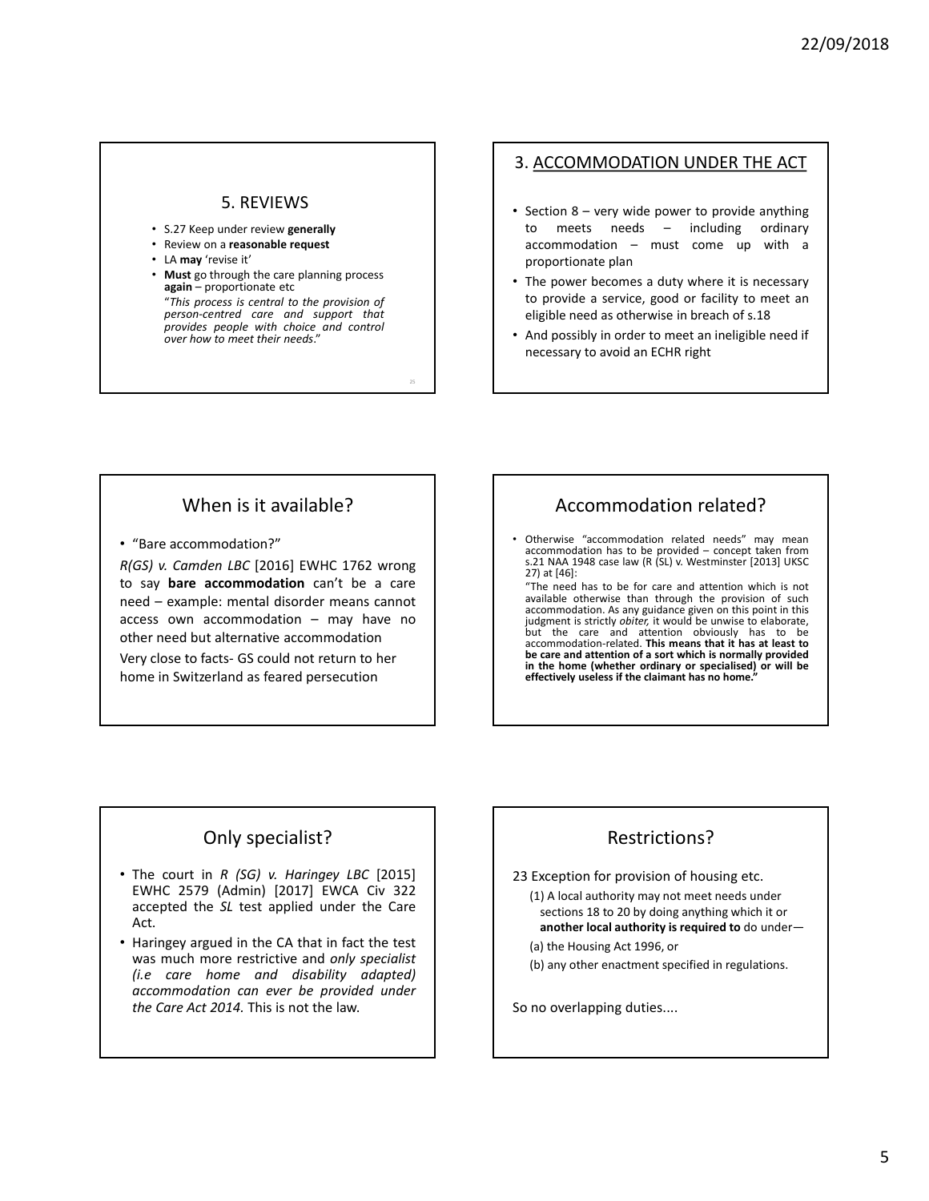#### 5. REVIEWS

- S.27 Keep under review **generally**
- Review on a **reasonable request**
- LA **may** 'revise it'
- **Must** go through the care planning process **again** – proportionate etc

"*This process is central to the provision of person-centred care and support that provides people with choice and control over how to meet their needs*."

25

#### 3. ACCOMMODATION UNDER THE ACT

- Section 8 very wide power to provide anything to meets needs – including ordinary accommodation – must come up with a proportionate plan
- The power becomes a duty where it is necessary to provide a service, good or facility to meet an eligible need as otherwise in breach of s.18
- And possibly in order to meet an ineligible need if necessary to avoid an ECHR right

### When is it available?

• "Bare accommodation?"

*R(GS) v. Camden LBC* [2016] EWHC 1762 wrong to say **bare accommodation** can't be a care need – example: mental disorder means cannot access own accommodation – may have no other need but alternative accommodation

Very close to facts- GS could not return to her home in Switzerland as feared persecution

## Accommodation related?

• Otherwise "accommodation related needs" may mean accommodation has to be provided – concept taken from s.21 NAA <sup>1948</sup> case law (R (SL) v. Westminster [2013] UKSC 27) at [46]:

"The need has to be for care and attention which is not available otherwise than through the provision of such accommodation. As any guidance given on this point in this judgment is strictly *obiter*, it would be unwise to elaborate, but the care and attention obviously has to be accommodation-related. **This means that it has at least to be care and attention of a sort which is normally provided in the home (whether ordinary or specialised) or will be effectively useless if the claimant has no home."**

## Only specialist?

- The court in *R (SG) v. Haringey LBC* [2015] EWHC 2579 (Admin) [2017] EWCA Civ 322 accepted the *SL* test applied under the Care Act.
- Haringey argued in the CA that in fact the test was much more restrictive and *only specialist (i.e care home and disability adapted) accommodation can ever be provided under the Care Act 2014.* This is not the law.

# Restrictions?

23 Exception for provision of housing etc.

(1) A local authority may not meet needs under sections 18 to 20 by doing anything which it or **another local authority is required to** do under—

(a) the Housing Act 1996, or

(b) any other enactment specified in regulations.

So no overlapping duties....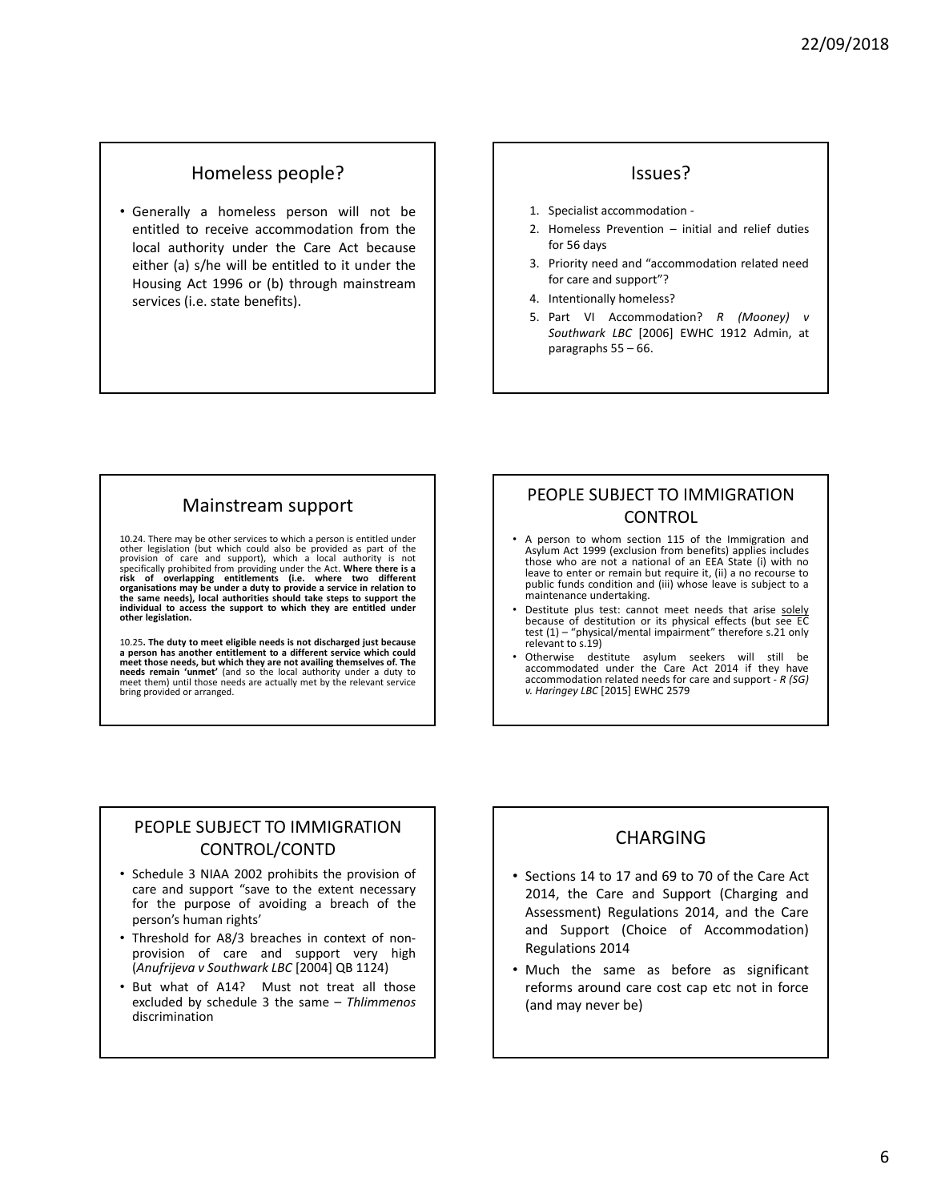#### Homeless people?

• Generally a homeless person will not be entitled to receive accommodation from the local authority under the Care Act because either (a) s/he will be entitled to it under the Housing Act 1996 or (b) through mainstream services (i.e. state benefits).

#### Issues?

- 1. Specialist accommodation -
- 2. Homeless Prevention initial and relief duties for 56 days
- 3. Priority need and "accommodation related need for care and support"?
- 4. Intentionally homeless?
- 5. Part VI Accommodation? *R (Mooney) v Southwark LBC* [2006] EWHC 1912 Admin, at paragraphs 55 – 66.

### Mainstream support

10.24. There may be other services to which a person is entitled under other legislation (but which could also be provided as part of the provision of care and support), which a local authority is not specifically prohibited from providing under the Act. Where there is a risk of overlapping entitlements (i.e. where two different spiritlements (i.e. where two organisations may be under a duty to provide a service in relation to<br>the same needs), local authorities should take steps to support the<br>individual to access the support to which they are entitled under<br>other legislation.

10.25. The duty to meet eligible needs is not discharged just because a person has another entitlement to a different service which could meet those needs, but which they are not availing themselves of. The needs remain ' meet them) until those needs are actually met by the relevant service bring provided or arranged.

#### PEOPLE SUBJECT TO IMMIGRATION CONTROL

- A person to whom section 115 of the Immigration and Asylum Act 1999 (exclusion from benefits) applies includes these who are not a national of an EEA State (c) with no public funds condition and (iii) whose leave is subject to <sup>a</sup> maintenance undertaking.
- Destitute plus test: cannot meet needs that arise solely because of destitution or its physical effects (but see EC test (1) – "physical/mental impairment" therefore s.21 only relevant to s.19)
- Otherwise destitute asylum seekers will still be accommodated under the Care Act 2014 if they have accommodation related needs for care and support - *<sup>R</sup> (SG) v. Haringey LBC* [2015] EWHC <sup>2579</sup>

#### PEOPLE SUBJECT TO IMMIGRATION CONTROL/CONTD

- Schedule 3 NIAA 2002 prohibits the provision of care and support "save to the extent necessary for the purpose of avoiding a breach of the person's human rights'
- Threshold for A8/3 breaches in context of nonprovision of care and support very high (*Anufrijeva v Southwark LBC* [2004] QB 1124)
- But what of A14? Must not treat all those excluded by schedule 3 the same – *Thlimmenos* discrimination

#### CHARGING

- Sections 14 to 17 and 69 to 70 of the Care Act 2014, the Care and Support (Charging and Assessment) Regulations 2014, and the Care and Support (Choice of Accommodation) Regulations 2014
- Much the same as before as significant reforms around care cost cap etc not in force (and may never be)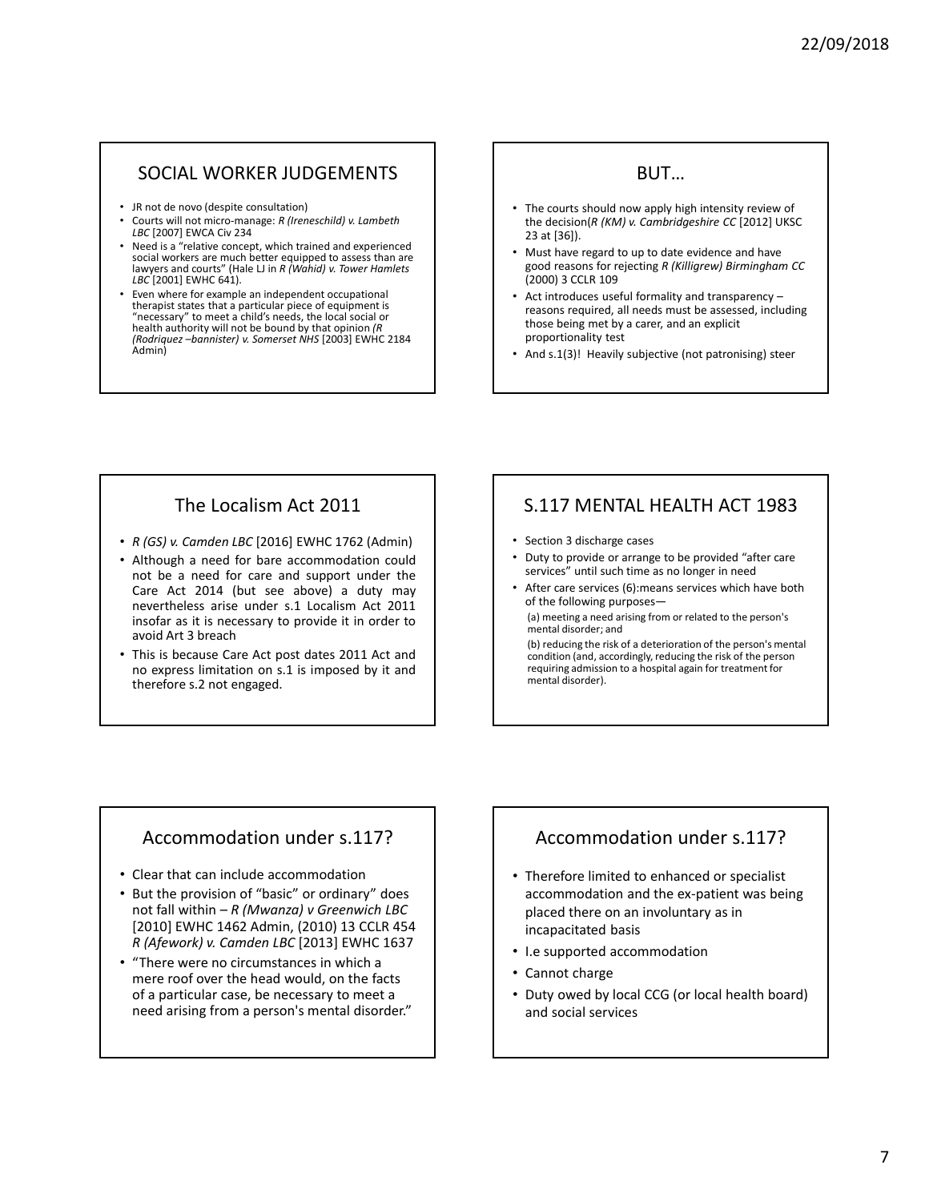### SOCIAL WORKER JUDGEMENTS

- JR not de novo (despite consultation)
- Courts will not micro-manage: *R (Ireneschild) v. Lambeth LBC* [2007] EWCA Civ 234
- Need is a "relative concept, which trained and experienced social workers are much better equipped to assess than are lawyers and courts" (Hale LJ in *R (Wahid) v. Tower Hamlets LBC* [2001] EWHC 641).
- Even where for example an independent occupational therapist states that a particular piece of equipment is "necessary" to meet a child's needs, the local social or health authority will not be bound by that opinion *(R (Rodriquez –bannister) v. Somerset NHS* [2003] EWHC 2184 Admin)

#### **BUT**

- The courts should now apply high intensity review of the decision(*R (KM) v. Cambridgeshire CC* [2012] UKSC 23 at [36]).
- Must have regard to up to date evidence and have good reasons for rejecting *R (Killigrew) Birmingham CC* (2000) 3 CCLR 109
- Act introduces useful formality and transparency reasons required, all needs must be assessed, including those being met by a carer, and an explicit proportionality test
- And s.1(3)! Heavily subjective (not patronising) steer

## The Localism Act 2011

- *R (GS) v. Camden LBC* [2016] EWHC 1762 (Admin)
- Although a need for bare accommodation could not be a need for care and support under the Care Act 2014 (but see above) a duty may nevertheless arise under s.1 Localism Act 2011 insofar as it is necessary to provide it in order to avoid Art 3 breach
- This is because Care Act post dates 2011 Act and no express limitation on s.1 is imposed by it and therefore s.2 not engaged.

## S.117 MENTAL HEALTH ACT 1983

• Section 3 discharge cases

mental disorder).

- Duty to provide or arrange to be provided "after care services" until such time as no longer in need
- After care services (6): means services which have both of the following purposes— (a) meeting a need arising from or related to the person's mental disorder; and (b) reducing the risk of a deterioration of the person's mental condition (and, accordingly, reducing the risk of the person requiring admission to a hospital again for treatment for

## Accommodation under s.117?

- Clear that can include accommodation
- But the provision of "basic" or ordinary" does not fall within – *R (Mwanza) v Greenwich LBC*  [2010] EWHC 1462 Admin, (2010) 13 CCLR 454 *R (Afework) v. Camden LBC* [2013] EWHC 1637
- "There were no circumstances in which a mere roof over the head would, on the facts of a particular case, be necessary to meet a need arising from a person's mental disorder."

## Accommodation under s.117?

- Therefore limited to enhanced or specialist accommodation and the ex-patient was being placed there on an involuntary as in incapacitated basis
- I.e supported accommodation
- Cannot charge
- Duty owed by local CCG (or local health board) and social services